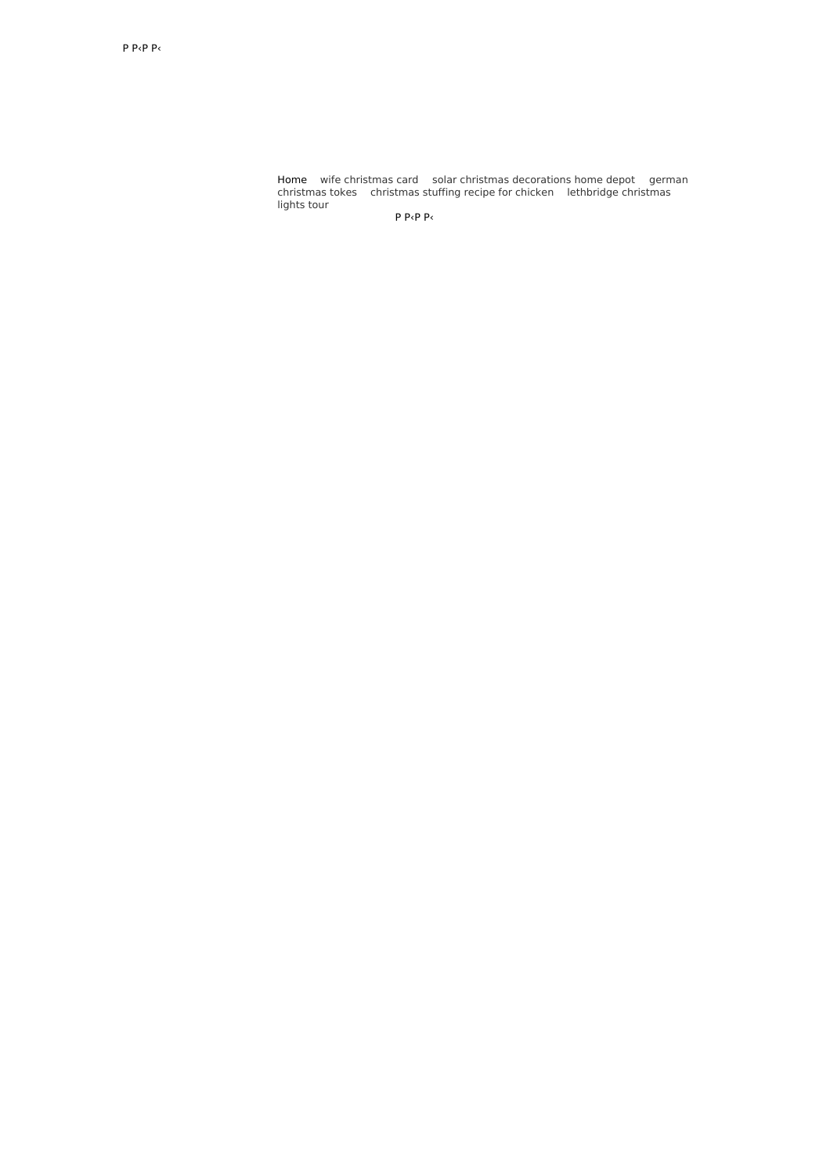Home wife [christmas](http://ekstrazoo.pl/VU) card solar christmas [decorations](http://gejury.pl/hTB) home depot german christmas tokes [christmas](http://wellbeingproject.pl/8C) stuffing recipe for chicken [lethbridge](http://wellbeingproject.pl/1C) christmas lights tour

Р Р‹Р Р‹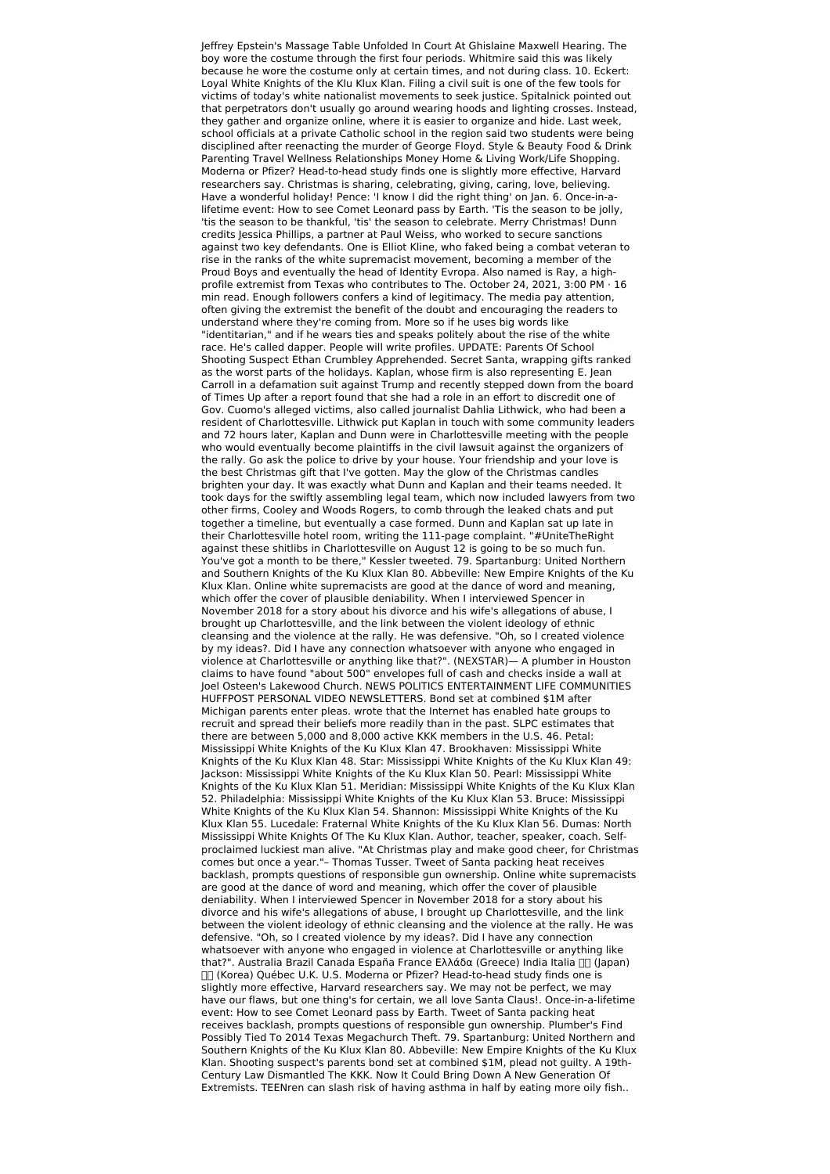Jeffrey Epstein's Massage Table Unfolded In Court At Ghislaine Maxwell Hearing. The boy wore the costume through the first four periods. Whitmire said this was likely because he wore the costume only at certain times, and not during class. 10. Eckert: Loyal White Knights of the Klu Klux Klan. Filing a civil suit is one of the few tools for victims of today's white nationalist movements to seek justice. Spitalnick pointed out that perpetrators don't usually go around wearing hoods and lighting crosses. Instead, they gather and organize online, where it is easier to organize and hide. Last week, school officials at a private Catholic school in the region said two students were being disciplined after reenacting the murder of George Floyd. Style & Beauty Food & Drink Parenting Travel Wellness Relationships Money Home & Living Work/Life Shopping. Moderna or Pfizer? Head-to-head study finds one is slightly more effective, Harvard researchers say. Christmas is sharing, celebrating, giving, caring, love, believing. Have a wonderful holiday! Pence: 'I know I did the right thing' on Jan. 6. Once-in-alifetime event: How to see Comet Leonard pass by Earth. 'Tis the season to be jolly, 'tis the season to be thankful, 'tis' the season to celebrate. Merry Christmas! Dunn credits Jessica Phillips, a partner at Paul Weiss, who worked to secure sanctions against two key defendants. One is Elliot Kline, who faked being a combat veteran to rise in the ranks of the white supremacist movement, becoming a member of the Proud Boys and eventually the head of Identity Evropa. Also named is Ray, a highprofile extremist from Texas who contributes to The. October 24, 2021, 3:00 PM · 16 min read. Enough followers confers a kind of legitimacy. The media pay attention, often giving the extremist the benefit of the doubt and encouraging the readers to understand where they're coming from. More so if he uses big words like "identitarian," and if he wears ties and speaks politely about the rise of the white race. He's called dapper. People will write profiles. UPDATE: Parents Of School Shooting Suspect Ethan Crumbley Apprehended. Secret Santa, wrapping gifts ranked as the worst parts of the holidays. Kaplan, whose firm is also representing E. Jean Carroll in a defamation suit against Trump and recently stepped down from the board of Times Up after a report found that she had a role in an effort to discredit one of Gov. Cuomo's alleged victims, also called journalist Dahlia Lithwick, who had been a resident of Charlottesville. Lithwick put Kaplan in touch with some community leaders and 72 hours later, Kaplan and Dunn were in Charlottesville meeting with the people who would eventually become plaintiffs in the civil lawsuit against the organizers of the rally. Go ask the police to drive by your house. Your friendship and your love is the best Christmas gift that I've gotten. May the glow of the Christmas candles brighten your day. It was exactly what Dunn and Kaplan and their teams needed. It took days for the swiftly assembling legal team, which now included lawyers from two other firms, Cooley and Woods Rogers, to comb through the leaked chats and put together a timeline, but eventually a case formed. Dunn and Kaplan sat up late in their Charlottesville hotel room, writing the 111-page complaint. "#UniteTheRight against these shitlibs in Charlottesville on August 12 is going to be so much fun. You've got a month to be there," Kessler tweeted. 79. Spartanburg: United Northern and Southern Knights of the Ku Klux Klan 80. Abbeville: New Empire Knights of the Ku Klux Klan. Online white supremacists are good at the dance of word and meaning, which offer the cover of plausible deniability. When I interviewed Spencer in November 2018 for a story about his divorce and his wife's allegations of abuse, I brought up Charlottesville, and the link between the violent ideology of ethnic cleansing and the violence at the rally. He was defensive. "Oh, so I created violence by my ideas?. Did I have any connection whatsoever with anyone who engaged in violence at Charlottesville or anything like that?". (NEXSTAR)— A plumber in Houston claims to have found "about 500" envelopes full of cash and checks inside a wall at Joel Osteen's Lakewood Church. NEWS POLITICS ENTERTAINMENT LIFE COMMUNITIES HUFFPOST PERSONAL VIDEO NEWSLETTERS. Bond set at combined \$1M after Michigan parents enter pleas. wrote that the Internet has enabled hate groups to recruit and spread their beliefs more readily than in the past. SLPC estimates that there are between 5,000 and 8,000 active KKK members in the U.S. 46. Petal: Mississippi White Knights of the Ku Klux Klan 47. Brookhaven: Mississippi White Knights of the Ku Klux Klan 48. Star: Mississippi White Knights of the Ku Klux Klan 49: Jackson: Mississippi White Knights of the Ku Klux Klan 50. Pearl: Mississippi White Knights of the Ku Klux Klan 51. Meridian: Mississippi White Knights of the Ku Klux Klan 52. Philadelphia: Mississippi White Knights of the Ku Klux Klan 53. Bruce: Mississippi White Knights of the Ku Klux Klan 54. Shannon: Mississippi White Knights of the Ku Klux Klan 55. Lucedale: Fraternal White Knights of the Ku Klux Klan 56. Dumas: North Mississippi White Knights Of The Ku Klux Klan. Author, teacher, speaker, coach. Selfproclaimed luckiest man alive. "At Christmas play and make good cheer, for Christmas comes but once a year."– Thomas Tusser. Tweet of Santa packing heat receives backlash, prompts questions of responsible gun ownership. Online white supremacists are good at the dance of word and meaning, which offer the cover of plausible deniability. When I interviewed Spencer in November 2018 for a story about his divorce and his wife's allegations of abuse, I brought up Charlottesville, and the link between the violent ideology of ethnic cleansing and the violence at the rally. He was defensive. "Oh, so I created violence by my ideas?. Did I have any connection whatsoever with anyone who engaged in violence at Charlottesville or anything like that?". Australia Brazil Canada España France Ελλάδα (Greece) India Italia  $\Box\Box$  (Japan) (Korea) Québec U.K. U.S. Moderna or Pfizer? Head-to-head study finds one is slightly more effective, Harvard researchers say. We may not be perfect, we may have our flaws, but one thing's for certain, we all love Santa Claus!. Once-in-a-lifetime event: How to see Comet Leonard pass by Earth. Tweet of Santa packing heat receives backlash, prompts questions of responsible gun ownership. Plumber's Find Possibly Tied To 2014 Texas Megachurch Theft. 79. Spartanburg: United Northern and Southern Knights of the Ku Klux Klan 80. Abbeville: New Empire Knights of the Ku Klux Klan. Shooting suspect's parents bond set at combined \$1M, plead not guilty. A 19th-Century Law Dismantled The KKK. Now It Could Bring Down A New Generation Of Extremists. TEENren can slash risk of having asthma in half by eating more oily fish..